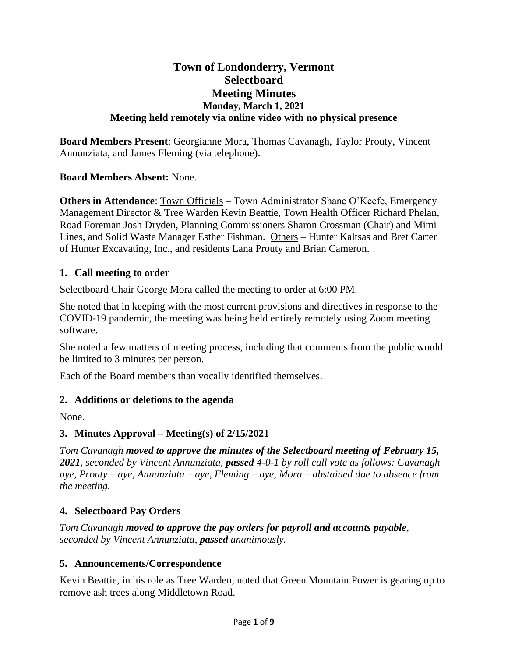# **Town of Londonderry, Vermont Selectboard Meeting Minutes Monday, March 1, 2021 Meeting held remotely via online video with no physical presence**

**Board Members Present**: Georgianne Mora, Thomas Cavanagh, Taylor Prouty, Vincent Annunziata, and James Fleming (via telephone).

# **Board Members Absent:** None.

**Others in Attendance:** Town Officials – Town Administrator Shane O'Keefe, Emergency Management Director & Tree Warden Kevin Beattie, Town Health Officer Richard Phelan, Road Foreman Josh Dryden, Planning Commissioners Sharon Crossman (Chair) and Mimi Lines, and Solid Waste Manager Esther Fishman. Others – Hunter Kaltsas and Bret Carter of Hunter Excavating, Inc., and residents Lana Prouty and Brian Cameron.

### **1. Call meeting to order**

Selectboard Chair George Mora called the meeting to order at 6:00 PM.

She noted that in keeping with the most current provisions and directives in response to the COVID-19 pandemic, the meeting was being held entirely remotely using Zoom meeting software.

She noted a few matters of meeting process, including that comments from the public would be limited to 3 minutes per person.

Each of the Board members than vocally identified themselves.

# **2. Additions or deletions to the agenda**

None.

# **3. Minutes Approval – Meeting(s) of 2/15/2021**

*Tom Cavanagh moved to approve the minutes of the Selectboard meeting of February 15, 2021, seconded by Vincent Annunziata, passed 4-0-1 by roll call vote as follows: Cavanagh – aye, Prouty – aye, Annunziata – aye, Fleming – aye, Mora – abstained due to absence from the meeting.*

# **4. Selectboard Pay Orders**

*Tom Cavanagh moved to approve the pay orders for payroll and accounts payable, seconded by Vincent Annunziata, passed unanimously.*

# **5. Announcements/Correspondence**

Kevin Beattie, in his role as Tree Warden, noted that Green Mountain Power is gearing up to remove ash trees along Middletown Road.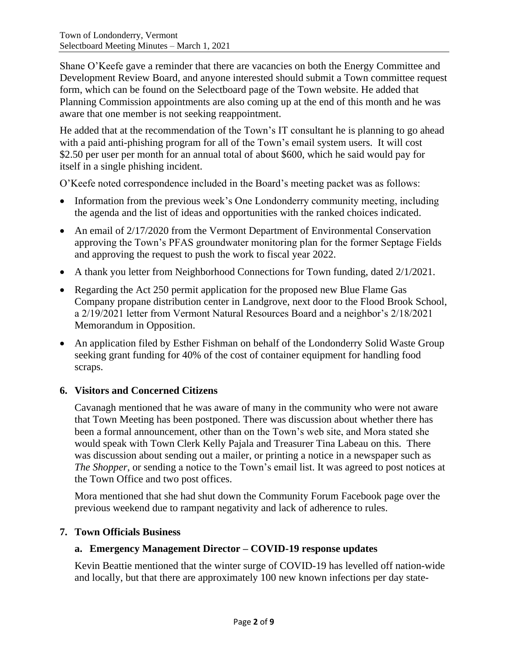Shane O'Keefe gave a reminder that there are vacancies on both the Energy Committee and Development Review Board, and anyone interested should submit a Town committee request form, which can be found on the Selectboard page of the Town website. He added that Planning Commission appointments are also coming up at the end of this month and he was aware that one member is not seeking reappointment.

He added that at the recommendation of the Town's IT consultant he is planning to go ahead with a paid anti-phishing program for all of the Town's email system users. It will cost \$2.50 per user per month for an annual total of about \$600, which he said would pay for itself in a single phishing incident.

O'Keefe noted correspondence included in the Board's meeting packet was as follows:

- Information from the previous week's One Londonderry community meeting, including the agenda and the list of ideas and opportunities with the ranked choices indicated.
- An email of 2/17/2020 from the Vermont Department of Environmental Conservation approving the Town's PFAS groundwater monitoring plan for the former Septage Fields and approving the request to push the work to fiscal year 2022.
- A thank you letter from Neighborhood Connections for Town funding, dated 2/1/2021.
- Regarding the Act 250 permit application for the proposed new Blue Flame Gas Company propane distribution center in Landgrove, next door to the Flood Brook School, a 2/19/2021 letter from Vermont Natural Resources Board and a neighbor's 2/18/2021 Memorandum in Opposition.
- An application filed by Esther Fishman on behalf of the Londonderry Solid Waste Group seeking grant funding for 40% of the cost of container equipment for handling food scraps.

# **6. Visitors and Concerned Citizens**

Cavanagh mentioned that he was aware of many in the community who were not aware that Town Meeting has been postponed. There was discussion about whether there has been a formal announcement, other than on the Town's web site, and Mora stated she would speak with Town Clerk Kelly Pajala and Treasurer Tina Labeau on this. There was discussion about sending out a mailer, or printing a notice in a newspaper such as *The Shopper*, or sending a notice to the Town's email list. It was agreed to post notices at the Town Office and two post offices.

Mora mentioned that she had shut down the Community Forum Facebook page over the previous weekend due to rampant negativity and lack of adherence to rules.

#### **7. Town Officials Business**

#### **a. Emergency Management Director – COVID-19 response updates**

Kevin Beattie mentioned that the winter surge of COVID-19 has levelled off nation-wide and locally, but that there are approximately 100 new known infections per day state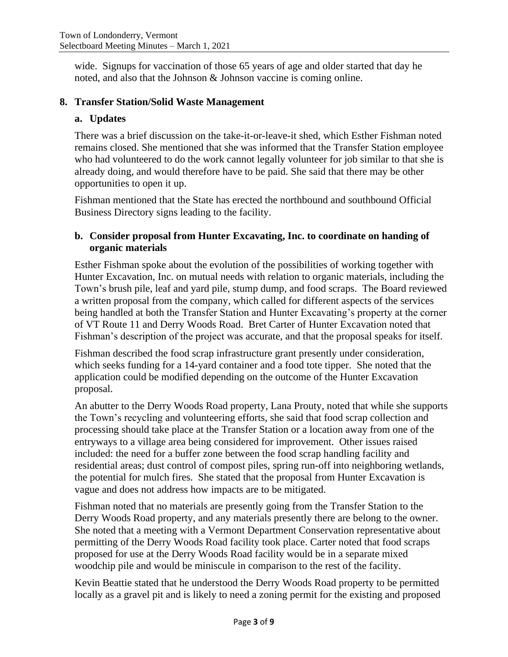wide. Signups for vaccination of those 65 years of age and older started that day he noted, and also that the Johnson & Johnson vaccine is coming online.

#### **8. Transfer Station/Solid Waste Management**

#### **a. Updates**

There was a brief discussion on the take-it-or-leave-it shed, which Esther Fishman noted remains closed. She mentioned that she was informed that the Transfer Station employee who had volunteered to do the work cannot legally volunteer for job similar to that she is already doing, and would therefore have to be paid. She said that there may be other opportunities to open it up.

Fishman mentioned that the State has erected the northbound and southbound Official Business Directory signs leading to the facility.

#### **b. Consider proposal from Hunter Excavating, Inc. to coordinate on handing of organic materials**

Esther Fishman spoke about the evolution of the possibilities of working together with Hunter Excavation, Inc. on mutual needs with relation to organic materials, including the Town's brush pile, leaf and yard pile, stump dump, and food scraps. The Board reviewed a written proposal from the company, which called for different aspects of the services being handled at both the Transfer Station and Hunter Excavating's property at the corner of VT Route 11 and Derry Woods Road. Bret Carter of Hunter Excavation noted that Fishman's description of the project was accurate, and that the proposal speaks for itself.

Fishman described the food scrap infrastructure grant presently under consideration, which seeks funding for a 14-yard container and a food tote tipper. She noted that the application could be modified depending on the outcome of the Hunter Excavation proposal.

An abutter to the Derry Woods Road property, Lana Prouty, noted that while she supports the Town's recycling and volunteering efforts, she said that food scrap collection and processing should take place at the Transfer Station or a location away from one of the entryways to a village area being considered for improvement. Other issues raised included: the need for a buffer zone between the food scrap handling facility and residential areas; dust control of compost piles, spring run-off into neighboring wetlands, the potential for mulch fires. She stated that the proposal from Hunter Excavation is vague and does not address how impacts are to be mitigated.

Fishman noted that no materials are presently going from the Transfer Station to the Derry Woods Road property, and any materials presently there are belong to the owner. She noted that a meeting with a Vermont Department Conservation representative about permitting of the Derry Woods Road facility took place. Carter noted that food scraps proposed for use at the Derry Woods Road facility would be in a separate mixed woodchip pile and would be miniscule in comparison to the rest of the facility.

Kevin Beattie stated that he understood the Derry Woods Road property to be permitted locally as a gravel pit and is likely to need a zoning permit for the existing and proposed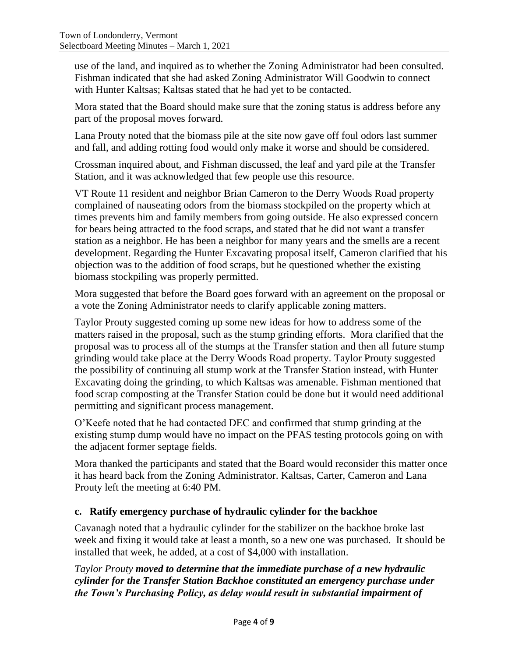use of the land, and inquired as to whether the Zoning Administrator had been consulted. Fishman indicated that she had asked Zoning Administrator Will Goodwin to connect with Hunter Kaltsas; Kaltsas stated that he had yet to be contacted.

Mora stated that the Board should make sure that the zoning status is address before any part of the proposal moves forward.

Lana Prouty noted that the biomass pile at the site now gave off foul odors last summer and fall, and adding rotting food would only make it worse and should be considered.

Crossman inquired about, and Fishman discussed, the leaf and yard pile at the Transfer Station, and it was acknowledged that few people use this resource.

VT Route 11 resident and neighbor Brian Cameron to the Derry Woods Road property complained of nauseating odors from the biomass stockpiled on the property which at times prevents him and family members from going outside. He also expressed concern for bears being attracted to the food scraps, and stated that he did not want a transfer station as a neighbor. He has been a neighbor for many years and the smells are a recent development. Regarding the Hunter Excavating proposal itself, Cameron clarified that his objection was to the addition of food scraps, but he questioned whether the existing biomass stockpiling was properly permitted.

Mora suggested that before the Board goes forward with an agreement on the proposal or a vote the Zoning Administrator needs to clarify applicable zoning matters.

Taylor Prouty suggested coming up some new ideas for how to address some of the matters raised in the proposal, such as the stump grinding efforts. Mora clarified that the proposal was to process all of the stumps at the Transfer station and then all future stump grinding would take place at the Derry Woods Road property. Taylor Prouty suggested the possibility of continuing all stump work at the Transfer Station instead, with Hunter Excavating doing the grinding, to which Kaltsas was amenable. Fishman mentioned that food scrap composting at the Transfer Station could be done but it would need additional permitting and significant process management.

O'Keefe noted that he had contacted DEC and confirmed that stump grinding at the existing stump dump would have no impact on the PFAS testing protocols going on with the adjacent former septage fields.

Mora thanked the participants and stated that the Board would reconsider this matter once it has heard back from the Zoning Administrator. Kaltsas, Carter, Cameron and Lana Prouty left the meeting at 6:40 PM.

# **c. Ratify emergency purchase of hydraulic cylinder for the backhoe**

Cavanagh noted that a hydraulic cylinder for the stabilizer on the backhoe broke last week and fixing it would take at least a month, so a new one was purchased. It should be installed that week, he added, at a cost of \$4,000 with installation.

*Taylor Prouty moved to determine that the immediate purchase of a new hydraulic cylinder for the Transfer Station Backhoe constituted an emergency purchase under the Town's Purchasing Policy, as delay would result in substantial impairment of*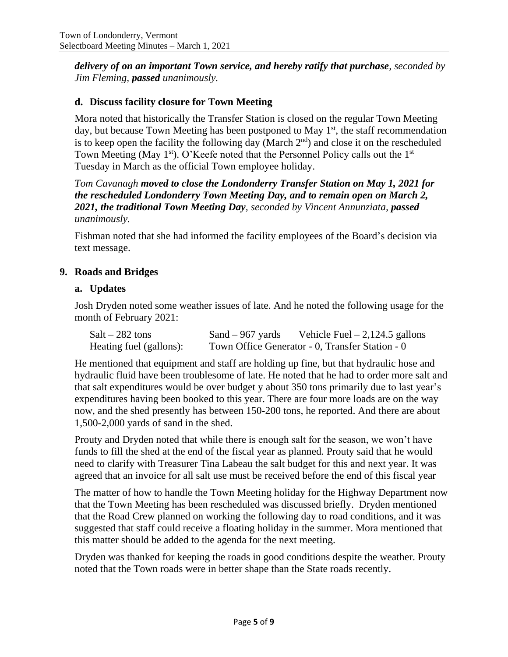*delivery of on an important Town service, and hereby ratify that purchase, seconded by Jim Fleming, passed unanimously.*

# **d. Discuss facility closure for Town Meeting**

Mora noted that historically the Transfer Station is closed on the regular Town Meeting day, but because Town Meeting has been postponed to May  $1<sup>st</sup>$ , the staff recommendation is to keep open the facility the following day (March  $2<sup>nd</sup>$ ) and close it on the rescheduled Town Meeting (May 1<sup>st</sup>). O'Keefe noted that the Personnel Policy calls out the 1<sup>st</sup> Tuesday in March as the official Town employee holiday.

*Tom Cavanagh moved to close the Londonderry Transfer Station on May 1, 2021 for the rescheduled Londonderry Town Meeting Day, and to remain open on March 2, 2021, the traditional Town Meeting Day, seconded by Vincent Annunziata, passed unanimously.*

Fishman noted that she had informed the facility employees of the Board's decision via text message.

### **9. Roads and Bridges**

#### **a. Updates**

Josh Dryden noted some weather issues of late. And he noted the following usage for the month of February 2021:

| $Salt - 282$ tons       | Sand $-967$ yards | Vehicle Fuel $-2,124.5$ gallons                 |
|-------------------------|-------------------|-------------------------------------------------|
| Heating fuel (gallons): |                   | Town Office Generator - 0, Transfer Station - 0 |

He mentioned that equipment and staff are holding up fine, but that hydraulic hose and hydraulic fluid have been troublesome of late. He noted that he had to order more salt and that salt expenditures would be over budget y about 350 tons primarily due to last year's expenditures having been booked to this year. There are four more loads are on the way now, and the shed presently has between 150-200 tons, he reported. And there are about 1,500-2,000 yards of sand in the shed.

Prouty and Dryden noted that while there is enough salt for the season, we won't have funds to fill the shed at the end of the fiscal year as planned. Prouty said that he would need to clarify with Treasurer Tina Labeau the salt budget for this and next year. It was agreed that an invoice for all salt use must be received before the end of this fiscal year

The matter of how to handle the Town Meeting holiday for the Highway Department now that the Town Meeting has been rescheduled was discussed briefly. Dryden mentioned that the Road Crew planned on working the following day to road conditions, and it was suggested that staff could receive a floating holiday in the summer. Mora mentioned that this matter should be added to the agenda for the next meeting.

Dryden was thanked for keeping the roads in good conditions despite the weather. Prouty noted that the Town roads were in better shape than the State roads recently.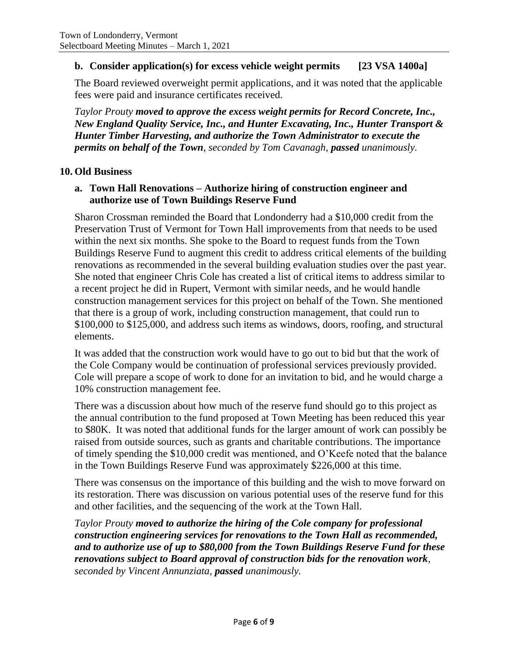### **b. Consider application(s) for excess vehicle weight permits [23 VSA 1400a]**

The Board reviewed overweight permit applications, and it was noted that the applicable fees were paid and insurance certificates received.

*Taylor Prouty moved to approve the excess weight permits for Record Concrete, Inc., New England Quality Service, Inc., and Hunter Excavating, Inc., Hunter Transport & Hunter Timber Harvesting, and authorize the Town Administrator to execute the permits on behalf of the Town, seconded by Tom Cavanagh, passed unanimously.*

#### **10. Old Business**

### **a. Town Hall Renovations – Authorize hiring of construction engineer and authorize use of Town Buildings Reserve Fund**

Sharon Crossman reminded the Board that Londonderry had a \$10,000 credit from the Preservation Trust of Vermont for Town Hall improvements from that needs to be used within the next six months. She spoke to the Board to request funds from the Town Buildings Reserve Fund to augment this credit to address critical elements of the building renovations as recommended in the several building evaluation studies over the past year. She noted that engineer Chris Cole has created a list of critical items to address similar to a recent project he did in Rupert, Vermont with similar needs, and he would handle construction management services for this project on behalf of the Town. She mentioned that there is a group of work, including construction management, that could run to \$100,000 to \$125,000, and address such items as windows, doors, roofing, and structural elements.

It was added that the construction work would have to go out to bid but that the work of the Cole Company would be continuation of professional services previously provided. Cole will prepare a scope of work to done for an invitation to bid, and he would charge a 10% construction management fee.

There was a discussion about how much of the reserve fund should go to this project as the annual contribution to the fund proposed at Town Meeting has been reduced this year to \$80K. It was noted that additional funds for the larger amount of work can possibly be raised from outside sources, such as grants and charitable contributions. The importance of timely spending the \$10,000 credit was mentioned, and O'Keefe noted that the balance in the Town Buildings Reserve Fund was approximately \$226,000 at this time.

There was consensus on the importance of this building and the wish to move forward on its restoration. There was discussion on various potential uses of the reserve fund for this and other facilities, and the sequencing of the work at the Town Hall.

*Taylor Prouty moved to authorize the hiring of the Cole company for professional construction engineering services for renovations to the Town Hall as recommended, and to authorize use of up to \$80,000 from the Town Buildings Reserve Fund for these renovations subject to Board approval of construction bids for the renovation work, seconded by Vincent Annunziata, passed unanimously.*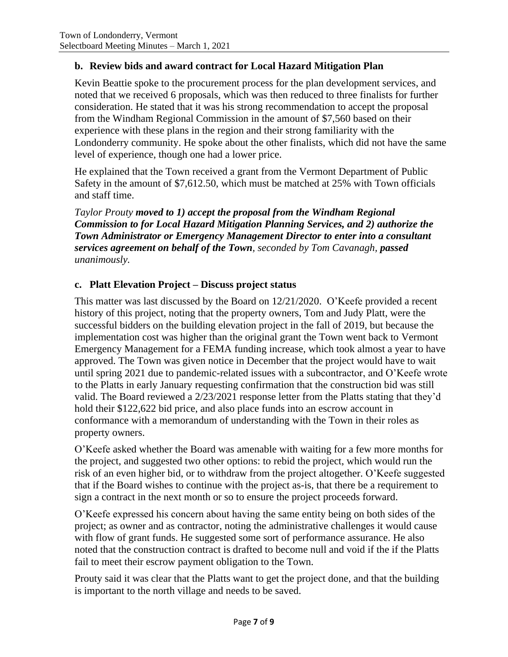### **b. Review bids and award contract for Local Hazard Mitigation Plan**

Kevin Beattie spoke to the procurement process for the plan development services, and noted that we received 6 proposals, which was then reduced to three finalists for further consideration. He stated that it was his strong recommendation to accept the proposal from the Windham Regional Commission in the amount of \$7,560 based on their experience with these plans in the region and their strong familiarity with the Londonderry community. He spoke about the other finalists, which did not have the same level of experience, though one had a lower price.

He explained that the Town received a grant from the Vermont Department of Public Safety in the amount of \$7,612.50, which must be matched at 25% with Town officials and staff time.

*Taylor Prouty moved to 1) accept the proposal from the Windham Regional Commission to for Local Hazard Mitigation Planning Services, and 2) authorize the Town Administrator or Emergency Management Director to enter into a consultant services agreement on behalf of the Town, seconded by Tom Cavanagh, passed unanimously.*

### **c. Platt Elevation Project – Discuss project status**

This matter was last discussed by the Board on 12/21/2020. O'Keefe provided a recent history of this project, noting that the property owners, Tom and Judy Platt, were the successful bidders on the building elevation project in the fall of 2019, but because the implementation cost was higher than the original grant the Town went back to Vermont Emergency Management for a FEMA funding increase, which took almost a year to have approved. The Town was given notice in December that the project would have to wait until spring 2021 due to pandemic-related issues with a subcontractor, and O'Keefe wrote to the Platts in early January requesting confirmation that the construction bid was still valid. The Board reviewed a 2/23/2021 response letter from the Platts stating that they'd hold their \$122,622 bid price, and also place funds into an escrow account in conformance with a memorandum of understanding with the Town in their roles as property owners.

O'Keefe asked whether the Board was amenable with waiting for a few more months for the project, and suggested two other options: to rebid the project, which would run the risk of an even higher bid, or to withdraw from the project altogether. O'Keefe suggested that if the Board wishes to continue with the project as-is, that there be a requirement to sign a contract in the next month or so to ensure the project proceeds forward.

O'Keefe expressed his concern about having the same entity being on both sides of the project; as owner and as contractor, noting the administrative challenges it would cause with flow of grant funds. He suggested some sort of performance assurance. He also noted that the construction contract is drafted to become null and void if the if the Platts fail to meet their escrow payment obligation to the Town.

Prouty said it was clear that the Platts want to get the project done, and that the building is important to the north village and needs to be saved.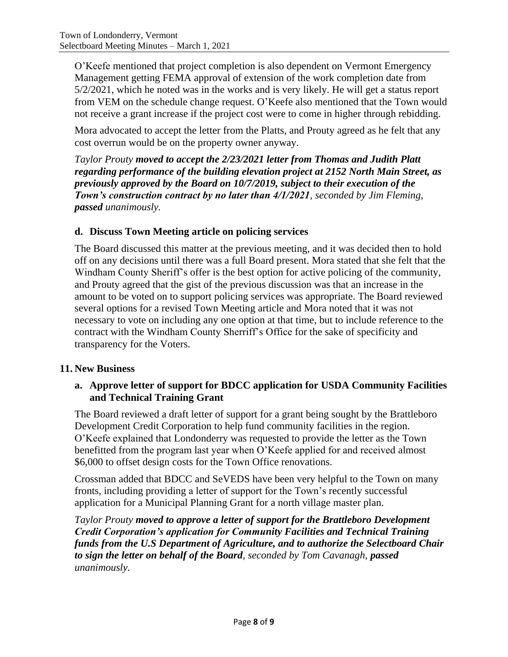O'Keefe mentioned that project completion is also dependent on Vermont Emergency Management getting FEMA approval of extension of the work completion date from 5/2/2021, which he noted was in the works and is very likely. He will get a status report from VEM on the schedule change request. O'Keefe also mentioned that the Town would not receive a grant increase if the project cost were to come in higher through rebidding.

Mora advocated to accept the letter from the Platts, and Prouty agreed as he felt that any cost overrun would be on the property owner anyway.

*Taylor Prouty moved to accept the 2/23/2021 letter from Thomas and Judith Platt regarding performance of the building elevation project at 2152 North Main Street, as previously approved by the Board on 10/7/2019, subject to their execution of the Town's construction contract by no later than 4/1/2021, seconded by Jim Fleming, passed unanimously.*

# **d. Discuss Town Meeting article on policing services**

The Board discussed this matter at the previous meeting, and it was decided then to hold off on any decisions until there was a full Board present. Mora stated that she felt that the Windham County Sheriff's offer is the best option for active policing of the community, and Prouty agreed that the gist of the previous discussion was that an increase in the amount to be voted on to support policing services was appropriate. The Board reviewed several options for a revised Town Meeting article and Mora noted that it was not necessary to vote on including any one option at that time, but to include reference to the contract with the Windham County Sherriff's Office for the sake of specificity and transparency for the Voters.

# **11. New Business**

# **a. Approve letter of support for BDCC application for USDA Community Facilities and Technical Training Grant**

The Board reviewed a draft letter of support for a grant being sought by the Brattleboro Development Credit Corporation to help fund community facilities in the region. O'Keefe explained that Londonderry was requested to provide the letter as the Town benefitted from the program last year when O'Keefe applied for and received almost \$6,000 to offset design costs for the Town Office renovations.

Crossman added that BDCC and SeVEDS have been very helpful to the Town on many fronts, including providing a letter of support for the Town's recently successful application for a Municipal Planning Grant for a north village master plan.

*Taylor Prouty moved to approve a letter of support for the Brattleboro Development Credit Corporation's application for Community Facilities and Technical Training funds from the U.S Department of Agriculture, and to authorize the Selectboard Chair to sign the letter on behalf of the Board, seconded by Tom Cavanagh, passed unanimously.*